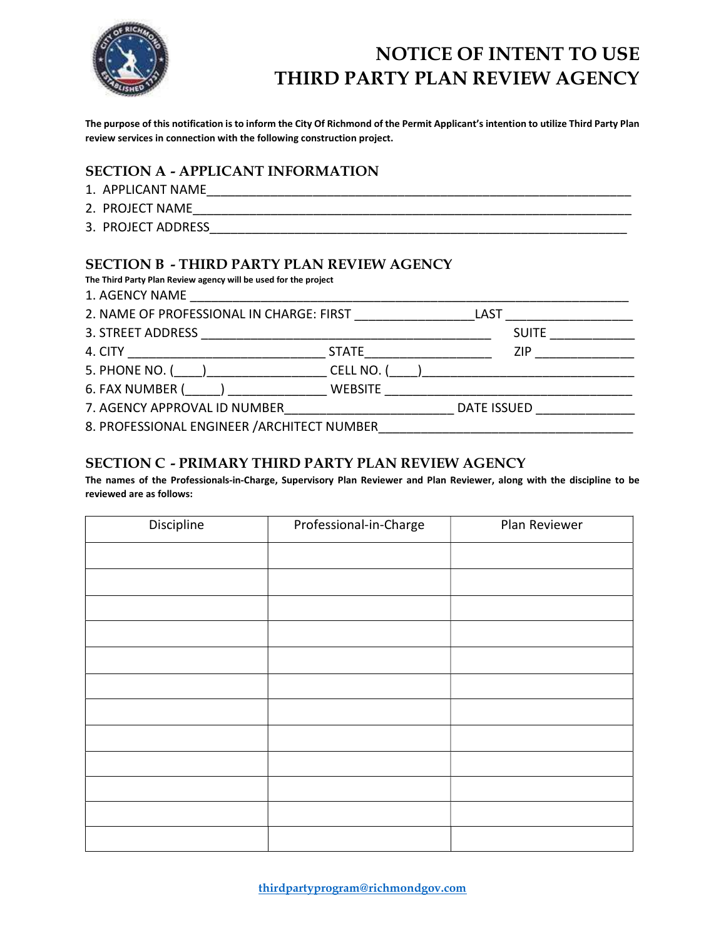

# NOTICE OF INTENT TO USE THIRD PARTY PLAN REVIEW AGENCY

The purpose of this notification is to inform the City Of Richmond of the Permit Applicant's intention to utilize Third Party Plan review services in connection with the following construction project.

### SECTION A - APPLICANT INFORMATION

- 1. APPLICANT NAME\_\_\_\_\_\_\_\_\_\_\_\_\_\_\_\_\_\_\_\_\_\_\_\_\_\_\_\_\_\_\_\_\_\_\_\_\_\_\_\_\_\_\_\_\_\_\_\_\_\_\_\_\_\_\_\_\_\_\_\_
- 2. PROJECT NAME\_\_\_\_\_\_\_\_\_\_\_\_\_\_\_\_\_\_\_\_\_\_\_\_\_\_\_\_\_\_\_\_\_\_\_\_\_\_\_\_\_\_\_\_\_\_\_\_\_\_\_\_\_\_\_\_\_\_\_\_\_\_
- 3. PROJECT ADDRESS

### SECTION B - THIRD PARTY PLAN REVIEW AGENCY

The Third Party Plan Review agency will be used for the project<br> $1.00510Y100B15$ 

| 1. AGENCY NAME                              |  |             |                      |
|---------------------------------------------|--|-------------|----------------------|
| 2. NAME OF PROFESSIONAL IN CHARGE: FIRST    |  |             | LAST _______________ |
| 3. STREET ADDRESS                           |  |             | <b>SUITE</b>         |
|                                             |  |             |                      |
| 5. PHONE NO. ( ) CELL NO. (                 |  |             |                      |
| 6. FAX NUMBER ( ) WEBSITE                   |  |             |                      |
|                                             |  | DATE ISSUED |                      |
| 8. PROFESSIONAL ENGINEER / ARCHITECT NUMBER |  |             |                      |

### SECTION C - PRIMARY THIRD PARTY PLAN REVIEW AGENCY

The names of the Professionals-in-Charge, Supervisory Plan Reviewer and Plan Reviewer, along with the discipline to be reviewed are as follows:

| Discipline | Professional-in-Charge | Plan Reviewer |
|------------|------------------------|---------------|
|            |                        |               |
|            |                        |               |
|            |                        |               |
|            |                        |               |
|            |                        |               |
|            |                        |               |
|            |                        |               |
|            |                        |               |
|            |                        |               |
|            |                        |               |
|            |                        |               |
|            |                        |               |